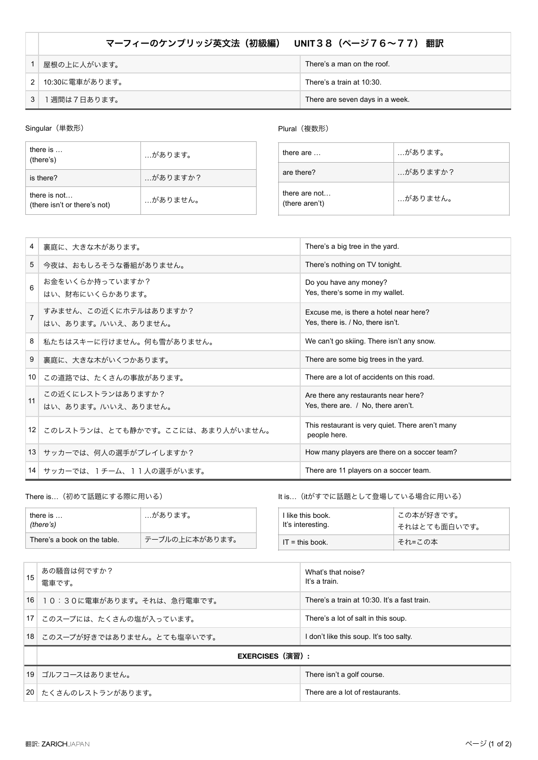## マーフィーのケンブリッジ英文法(初級編) **UNIT**38(ページ76~77) 翻訳

| 屋根の上に人がいます。    | There's a man on the roof.      |
|----------------|---------------------------------|
| 10:30に電車があります。 | There's a train at 10:30.       |
| 週間は7日あります。     | There are seven days in a week. |

Singular (単数形)

## Plural (複数形)

| there is $\ldots$<br>(there's)               | …があります。  |
|----------------------------------------------|----------|
| is there?                                    | …がありますか? |
| there is not<br>(there isn't or there's not) | …がありません。 |

| there are $\dots$               | …があります。  |
|---------------------------------|----------|
| are there?                      | …がありますか? |
| there are not<br>(there aren't) | …がありません。 |

| $\overline{4}$  | 裏庭に、大きな木があります。                               | There's a big tree in the yard.                                             |
|-----------------|----------------------------------------------|-----------------------------------------------------------------------------|
| 5               | 今夜は、おもしろそうな番組がありません。                         | There's nothing on TV tonight.                                              |
| 6               | お金をいくらか持っていますか?<br>はい、財布にいくらかあります。           | Do you have any money?<br>Yes, there's some in my wallet.                   |
| $\overline{7}$  | すみません、この近くにホテルはありますか?<br>はい、あります。/いいえ、ありません。 | Excuse me, is there a hotel near here?<br>Yes, there is / No, there isn't.  |
| 8               | 私たちはスキーに行けません。何も雪がありません。                     | We can't go skiing. There isn't any snow.                                   |
| 9               | 裏庭に、大きな木がいくつかあります。                           | There are some big trees in the yard.                                       |
| 10              | この道路では、たくさんの事故があります。                         | There are a lot of accidents on this road.                                  |
| 11              | この近くにレストランはありますか?<br>はい、あります。/いいえ、ありません。     | Are there any restaurants near here?<br>Yes, there are. / No, there aren't. |
| 12 <sup>1</sup> | このレストランは、とても静かです。ここには、あまり人がいません。             | This restaurant is very quiet. There aren't many<br>people here.            |
|                 | 13 サッカーでは、何人の選手がプレイしますか?                     | How many players are there on a soccer team?                                |
|                 | 14 サッカーでは、1チーム、11人の選手がいます。                   | There are 11 players on a soccer team.                                      |

There is…(初めて話題にする際に用いる)

| there is $\ldots$<br>(there's) | …があります。        |  |
|--------------------------------|----------------|--|
| There's a book on the table.   | テーブルの上に本があります。 |  |

It is…(itがすでに話題として登場している場合に用いる)

| I like this book. | この本が好きです。    |
|-------------------|--------------|
| It's interesting. | それはとても面白いです。 |
| $IT = this book$  | それ=この本       |

| 15              | あの騒音は何ですか?<br>電車です。          | What's that noise?<br>It's a train.          |
|-----------------|------------------------------|----------------------------------------------|
|                 | 16 10:30に電車があります。それは、急行電車です。 | There's a train at 10:30. It's a fast train. |
|                 | 17 このスープには、たくさんの塩が入っています。    | There's a lot of salt in this soup.          |
|                 | 18 このスープが好きではありません。とても塩辛いです。 | I don't like this soup. It's too salty.      |
|                 | EXERCISES(演習):               |                                              |
| 19 <sup>1</sup> | ゴルフコースはありません。                | There isn't a golf course.                   |
|                 | 20 たくさんのレストランがあります。          | There are a lot of restaurants.              |